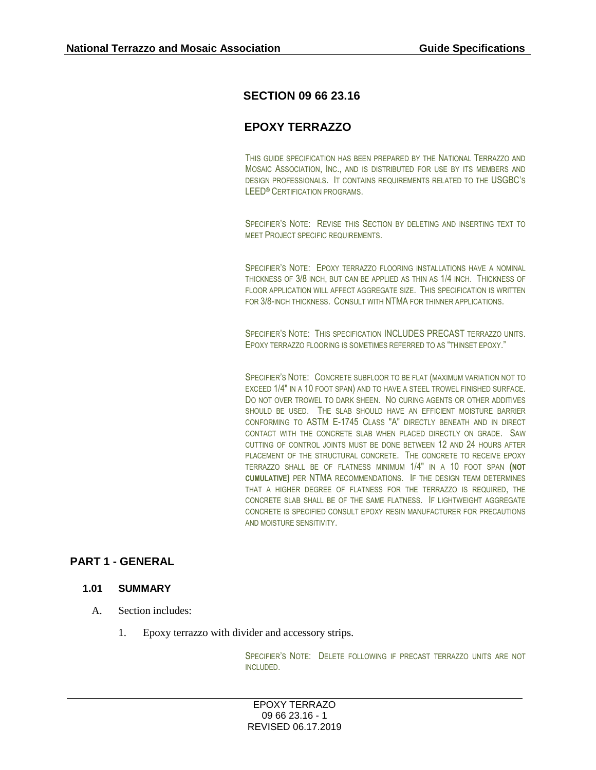# **SECTION 09 66 23.16**

# **EPOXY TERRAZZO**

THIS GUIDE SPECIFICATION HAS BEEN PREPARED BY THE NATIONAL TERRAZZO AND MOSAIC ASSOCIATION, INC., AND IS DISTRIBUTED FOR USE BY ITS MEMBERS AND DESIGN PROFESSIONALS. IT CONTAINS REQUIREMENTS RELATED TO THE USGBC'S LEED® CERTIFICATION PROGRAMS.

SPECIFIER'S NOTE: REVISE THIS SECTION BY DELETING AND INSERTING TEXT TO MEET PROJECT SPECIFIC REQUIREMENTS.

SPECIFIER'S NOTE: EPOXY TERRAZZO FLOORING INSTALLATIONS HAVE A NOMINAL THICKNESS OF 3/8 INCH, BUT CAN BE APPLIED AS THIN AS 1/4 INCH. THICKNESS OF FLOOR APPLICATION WILL AFFECT AGGREGATE SIZE. THIS SPECIFICATION IS WRITTEN FOR 3/8-INCH THICKNESS. CONSULT WITH NTMA FOR THINNER APPLICATIONS.

SPECIFIER'S NOTE: THIS SPECIFICATION INCLUDES PRECAST TERRAZZO UNITS. EPOXY TERRAZZO FLOORING IS SOMETIMES REFERRED TO AS "THINSET EPOXY."

SPECIFIER'S NOTE: CONCRETE SUBFLOOR TO BE FLAT (MAXIMUM VARIATION NOT TO EXCEED 1/4" IN A 10 FOOT SPAN) AND TO HAVE A STEEL TROWEL FINISHED SURFACE. DO NOT OVER TROWEL TO DARK SHEEN. NO CURING AGENTS OR OTHER ADDITIVES SHOULD BE USED. THE SLAB SHOULD HAVE AN EFFICIENT MOISTURE BARRIER CONFORMING TO ASTM E-1745 CLASS "A" DIRECTLY BENEATH AND IN DIRECT CONTACT WITH THE CONCRETE SLAB WHEN PLACED DIRECTLY ON GRADE. SAW CUTTING OF CONTROL JOINTS MUST BE DONE BETWEEN 12 AND 24 HOURS AFTER PLACEMENT OF THE STRUCTURAL CONCRETE. THE CONCRETE TO RECEIVE EPOXY TERRAZZO SHALL BE OF FLATNESS MINIMUM 1/4" IN A 10 FOOT SPAN **(NOT CUMULATIVE)** PER NTMA RECOMMENDATIONS. IF THE DESIGN TEAM DETERMINES THAT A HIGHER DEGREE OF FLATNESS FOR THE TERRAZZO IS REQUIRED, THE CONCRETE SLAB SHALL BE OF THE SAME FLATNESS. IF LIGHTWEIGHT AGGREGATE CONCRETE IS SPECIFIED CONSULT EPOXY RESIN MANUFACTURER FOR PRECAUTIONS AND MOISTURE SENSITIVITY.

# **PART 1 - GENERAL**

### **1.01 SUMMARY**

- A. Section includes:
	- 1. Epoxy terrazzo with divider and accessory strips.

SPECIFIER'S NOTE: DELETE FOLLOWING IF PRECAST TERRAZZO UNITS ARE NOT INCLUDED.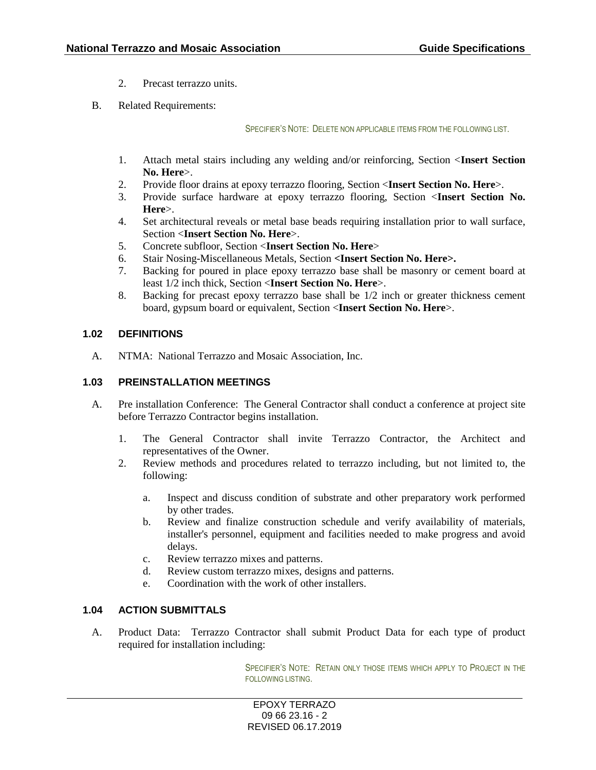- 2. Precast terrazzo units.
- B. Related Requirements:

SPECIFIER'S NOTE: DELETE NON APPLICABLE ITEMS FROM THE FOLLOWING LIST.

- 1. Attach metal stairs including any welding and/or reinforcing, Section <**Insert Section No. Here**>.
- 2. Provide floor drains at epoxy terrazzo flooring, Section <**Insert Section No. Here**>.
- 3. Provide surface hardware at epoxy terrazzo flooring, Section <**Insert Section No. Here**>.
- 4. Set architectural reveals or metal base beads requiring installation prior to wall surface, Section <**Insert Section No. Here**>.
- 5. Concrete subfloor, Section <**Insert Section No. Here**>
- 6. Stair Nosing-Miscellaneous Metals, Section **<Insert Section No. Here>.**
- 7. Backing for poured in place epoxy terrazzo base shall be masonry or cement board at least 1/2 inch thick, Section <**Insert Section No. Here**>.
- 8. Backing for precast epoxy terrazzo base shall be 1/2 inch or greater thickness cement board, gypsum board or equivalent, Section <**Insert Section No. Here**>.

### **1.02 DEFINITIONS**

A. NTMA: National Terrazzo and Mosaic Association, Inc.

### **1.03 PREINSTALLATION MEETINGS**

- A. Pre installation Conference: The General Contractor shall conduct a conference at project site before Terrazzo Contractor begins installation.
	- 1. The General Contractor shall invite Terrazzo Contractor, the Architect and representatives of the Owner.
	- 2. Review methods and procedures related to terrazzo including, but not limited to, the following:
		- a. Inspect and discuss condition of substrate and other preparatory work performed by other trades.
		- b. Review and finalize construction schedule and verify availability of materials, installer's personnel, equipment and facilities needed to make progress and avoid delays.
		- c. Review terrazzo mixes and patterns.
		- d. Review custom terrazzo mixes, designs and patterns.
		- e. Coordination with the work of other installers.

# **1.04 ACTION SUBMITTALS**

A. Product Data: Terrazzo Contractor shall submit Product Data for each type of product required for installation including:

> SPECIFIER'S NOTE: RETAIN ONLY THOSE ITEMS WHICH APPLY TO PROJECT IN THE FOLLOWING LISTING.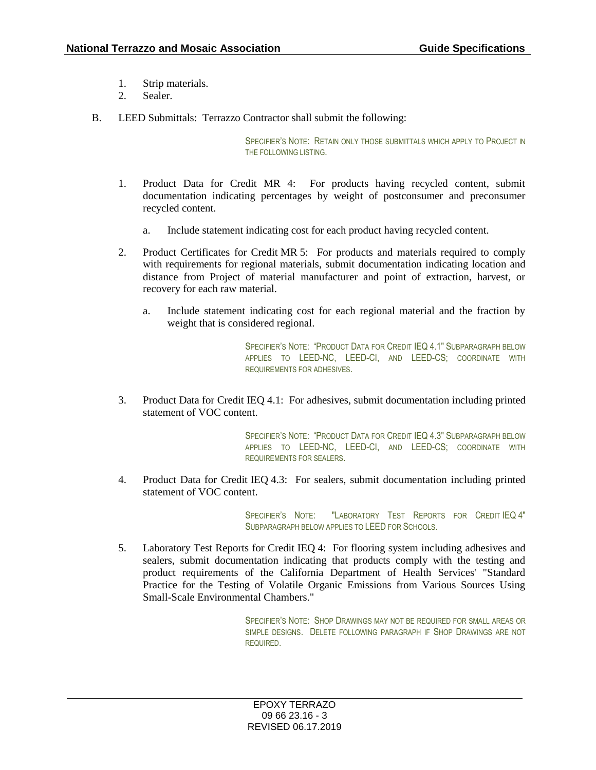- 1. Strip materials.
- 2. Sealer.
- B. LEED Submittals: Terrazzo Contractor shall submit the following:

SPECIFIER'S NOTE: RETAIN ONLY THOSE SUBMITTALS WHICH APPLY TO PROJECT IN THE FOLLOWING LISTING.

- 1. Product Data for Credit MR 4: For products having recycled content, submit documentation indicating percentages by weight of postconsumer and preconsumer recycled content.
	- a. Include statement indicating cost for each product having recycled content.
- 2. Product Certificates for Credit MR 5: For products and materials required to comply with requirements for regional materials, submit documentation indicating location and distance from Project of material manufacturer and point of extraction, harvest, or recovery for each raw material.
	- a. Include statement indicating cost for each regional material and the fraction by weight that is considered regional.

SPECIFIER'S NOTE: "PRODUCT DATA FOR CREDIT IEQ 4.1" SUBPARAGRAPH BELOW APPLIES TO LEED-NC, LEED-CI, AND LEED-CS; COORDINATE WITH REQUIREMENTS FOR ADHESIVES.

3. Product Data for Credit IEQ 4.1: For adhesives, submit documentation including printed statement of VOC content.

> SPECIFIER'S NOTE: "PRODUCT DATA FOR CREDIT IEQ 4.3" SUBPARAGRAPH BELOW APPLIES TO LEED-NC, LEED-CI, AND LEED-CS; COORDINATE WITH REQUIREMENTS FOR SEALERS.

4. Product Data for Credit IEQ 4.3: For sealers, submit documentation including printed statement of VOC content.

> SPECIFIER'S NOTE: "LABORATORY TEST REPORTS FOR CREDIT IEQ 4" SUBPARAGRAPH BELOW APPLIES TO LEED FOR SCHOOLS.

5. Laboratory Test Reports for Credit IEQ 4: For flooring system including adhesives and sealers, submit documentation indicating that products comply with the testing and product requirements of the California Department of Health Services' "Standard Practice for the Testing of Volatile Organic Emissions from Various Sources Using Small-Scale Environmental Chambers."

> SPECIFIER'S NOTE: SHOP DRAWINGS MAY NOT BE REQUIRED FOR SMALL AREAS OR SIMPLE DESIGNS. DELETE FOLLOWING PARAGRAPH IF SHOP DRAWINGS ARE NOT REQUIRED.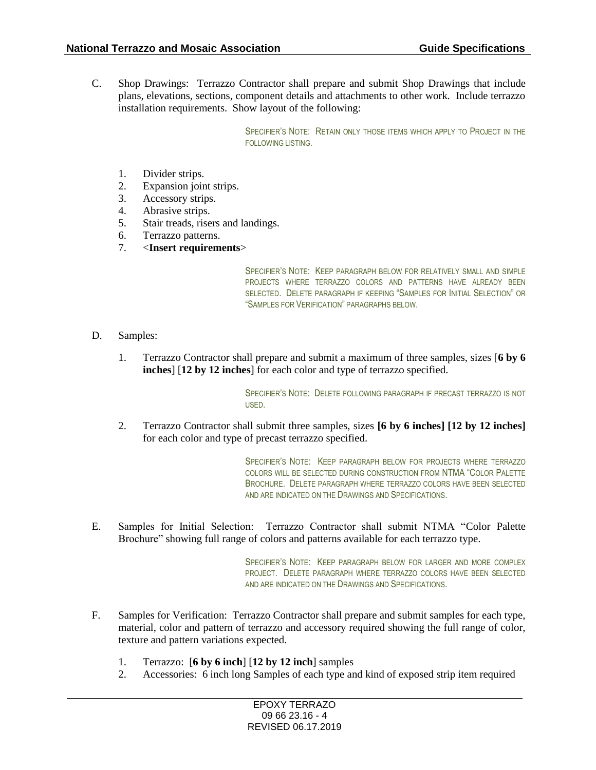C. Shop Drawings: Terrazzo Contractor shall prepare and submit Shop Drawings that include plans, elevations, sections, component details and attachments to other work. Include terrazzo installation requirements. Show layout of the following:

> SPECIFIER'S NOTE: RETAIN ONLY THOSE ITEMS WHICH APPLY TO PROJECT IN THE FOLLOWING LISTING.

- 1. Divider strips.
- 2. Expansion joint strips.
- 3. Accessory strips.
- 4. Abrasive strips.
- 5. Stair treads, risers and landings.
- 6. Terrazzo patterns.
- 7. <**Insert requirements**>

SPECIFIER'S NOTE: KEEP PARAGRAPH BELOW FOR RELATIVELY SMALL AND SIMPLE PROJECTS WHERE TERRAZZO COLORS AND PATTERNS HAVE ALREADY BEEN SELECTED. DELETE PARAGRAPH IF KEEPING "SAMPLES FOR INITIAL SELECTION" OR "SAMPLES FOR VERIFICATION" PARAGRAPHS BELOW.

- D. Samples:
	- 1. Terrazzo Contractor shall prepare and submit a maximum of three samples, sizes [**6 by 6 inches**] [**12 by 12 inches**] for each color and type of terrazzo specified.

SPECIFIER'S NOTE: DELETE FOLLOWING PARAGRAPH IF PRECAST TERRAZZO IS NOT USED.

2. Terrazzo Contractor shall submit three samples, sizes **[6 by 6 inches] [12 by 12 inches]** for each color and type of precast terrazzo specified.

> SPECIFIER'S NOTE: KEEP PARAGRAPH BELOW FOR PROJECTS WHERE TERRAZZO COLORS WILL BE SELECTED DURING CONSTRUCTION FROM NTMA "COLOR PALETTE BROCHURE. DELETE PARAGRAPH WHERE TERRAZZO COLORS HAVE BEEN SELECTED AND ARE INDICATED ON THE DRAWINGS AND SPECIFICATIONS.

E. Samples for Initial Selection: Terrazzo Contractor shall submit NTMA "Color Palette Brochure" showing full range of colors and patterns available for each terrazzo type.

> SPECIFIER'S NOTE: KEEP PARAGRAPH BELOW FOR LARGER AND MORE COMPLEX PROJECT. DELETE PARAGRAPH WHERE TERRAZZO COLORS HAVE BEEN SELECTED AND ARE INDICATED ON THE DRAWINGS AND SPECIFICATIONS.

- F. Samples for Verification: Terrazzo Contractor shall prepare and submit samples for each type, material, color and pattern of terrazzo and accessory required showing the full range of color, texture and pattern variations expected.
	- 1. Terrazzo: [**6 by 6 inch**] [**12 by 12 inch**] samples
	- 2. Accessories: 6 inch long Samples of each type and kind of exposed strip item required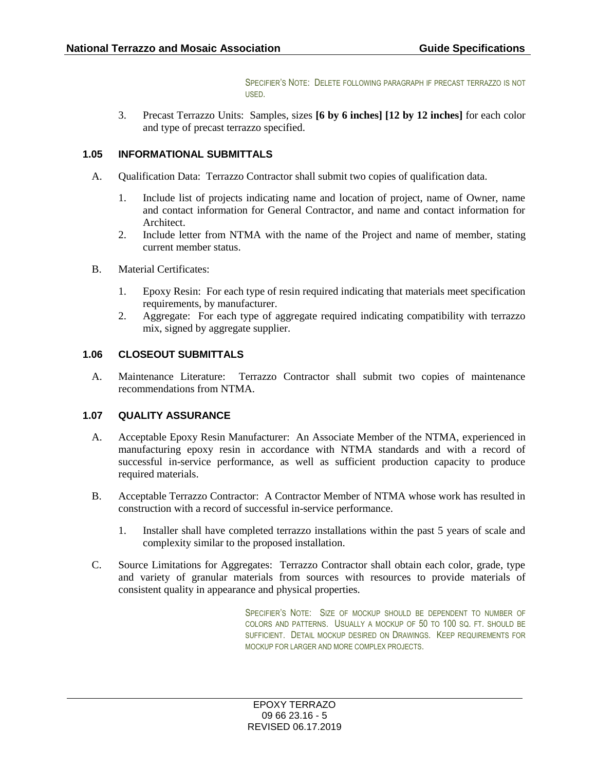SPECIFIER'S NOTE: DELETE FOLLOWING PARAGRAPH IF PRECAST TERRAZZO IS NOT USED.

3. Precast Terrazzo Units: Samples, sizes **[6 by 6 inches] [12 by 12 inches]** for each color and type of precast terrazzo specified.

## **1.05 INFORMATIONAL SUBMITTALS**

- A. Qualification Data: Terrazzo Contractor shall submit two copies of qualification data.
	- 1. Include list of projects indicating name and location of project, name of Owner, name and contact information for General Contractor, and name and contact information for Architect.
	- 2. Include letter from NTMA with the name of the Project and name of member, stating current member status.
- B. Material Certificates:
	- 1. Epoxy Resin: For each type of resin required indicating that materials meet specification requirements, by manufacturer.
	- 2. Aggregate: For each type of aggregate required indicating compatibility with terrazzo mix, signed by aggregate supplier.

### **1.06 CLOSEOUT SUBMITTALS**

A. Maintenance Literature: Terrazzo Contractor shall submit two copies of maintenance recommendations from NTMA.

# **1.07 QUALITY ASSURANCE**

- A. Acceptable Epoxy Resin Manufacturer: An Associate Member of the NTMA, experienced in manufacturing epoxy resin in accordance with NTMA standards and with a record of successful in-service performance, as well as sufficient production capacity to produce required materials.
- B. Acceptable Terrazzo Contractor: A Contractor Member of NTMA whose work has resulted in construction with a record of successful in-service performance.
	- 1. Installer shall have completed terrazzo installations within the past 5 years of scale and complexity similar to the proposed installation.
- C. Source Limitations for Aggregates: Terrazzo Contractor shall obtain each color, grade, type and variety of granular materials from sources with resources to provide materials of consistent quality in appearance and physical properties.

SPECIFIER'S NOTE: SIZE OF MOCKUP SHOULD BE DEPENDENT TO NUMBER OF COLORS AND PATTERNS. USUALLY A MOCKUP OF 50 TO 100 SQ. FT. SHOULD BE SUFFICIENT. DETAIL MOCKUP DESIRED ON DRAWINGS. KEEP REQUIREMENTS FOR MOCKUP FOR LARGER AND MORE COMPLEX PROJECTS.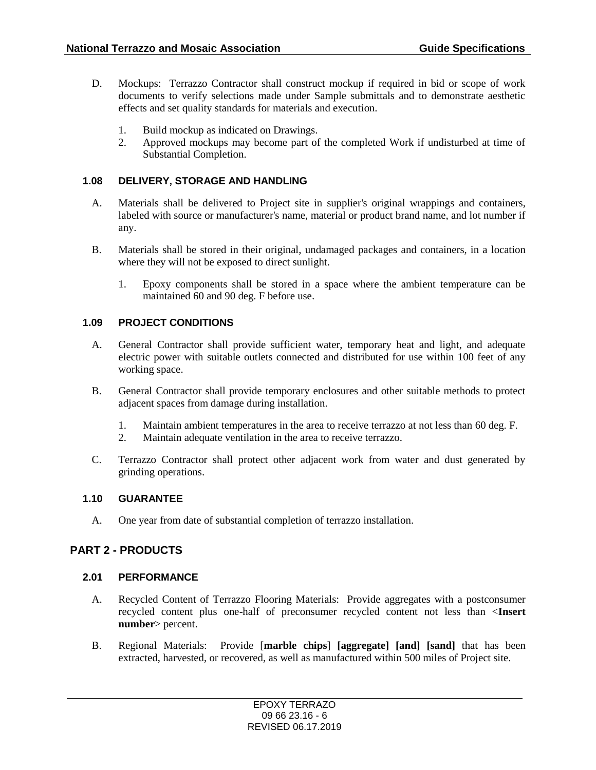- D. Mockups: Terrazzo Contractor shall construct mockup if required in bid or scope of work documents to verify selections made under Sample submittals and to demonstrate aesthetic effects and set quality standards for materials and execution.
	- 1. Build mockup as indicated on Drawings.
	- 2. Approved mockups may become part of the completed Work if undisturbed at time of Substantial Completion.

### **1.08 DELIVERY, STORAGE AND HANDLING**

- A. Materials shall be delivered to Project site in supplier's original wrappings and containers, labeled with source or manufacturer's name, material or product brand name, and lot number if any.
- B. Materials shall be stored in their original, undamaged packages and containers, in a location where they will not be exposed to direct sunlight.
	- 1. Epoxy components shall be stored in a space where the ambient temperature can be maintained 60 and 90 deg. F before use.

### **1.09 PROJECT CONDITIONS**

- A. General Contractor shall provide sufficient water, temporary heat and light, and adequate electric power with suitable outlets connected and distributed for use within 100 feet of any working space.
- B. General Contractor shall provide temporary enclosures and other suitable methods to protect adjacent spaces from damage during installation.
	- 1. Maintain ambient temperatures in the area to receive terrazzo at not less than 60 deg. F.
	- 2. Maintain adequate ventilation in the area to receive terrazzo.
- C. Terrazzo Contractor shall protect other adjacent work from water and dust generated by grinding operations.

### **1.10 GUARANTEE**

A. One year from date of substantial completion of terrazzo installation.

# **PART 2 - PRODUCTS**

### **2.01 PERFORMANCE**

- A. Recycled Content of Terrazzo Flooring Materials: Provide aggregates with a postconsumer recycled content plus one-half of preconsumer recycled content not less than <**Insert number**> percent.
- B. Regional Materials: Provide [**marble chips**] **[aggregate] [and] [sand]** that has been extracted, harvested, or recovered, as well as manufactured within 500 miles of Project site.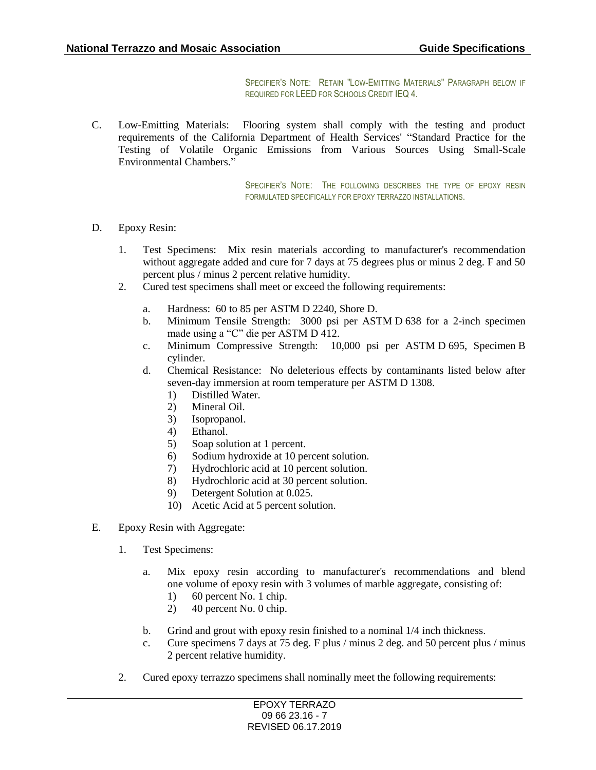SPECIFIER'S NOTE: RETAIN "LOW-EMITTING MATERIALS" PARAGRAPH BELOW IF REQUIRED FOR LEED FOR SCHOOLS CREDIT IEQ 4.

C. Low-Emitting Materials: Flooring system shall comply with the testing and product requirements of the California Department of Health Services' "Standard Practice for the Testing of Volatile Organic Emissions from Various Sources Using Small-Scale Environmental Chambers."

> SPECIFIER'S NOTE: THE FOLLOWING DESCRIBES THE TYPE OF EPOXY RESIN FORMULATED SPECIFICALLY FOR EPOXY TERRAZZO INSTALLATIONS.

- D. Epoxy Resin:
	- 1. Test Specimens: Mix resin materials according to manufacturer's recommendation without aggregate added and cure for 7 days at 75 degrees plus or minus 2 deg. F and 50 percent plus / minus 2 percent relative humidity.
	- 2. Cured test specimens shall meet or exceed the following requirements:
		- a. Hardness: 60 to 85 per ASTM D 2240, Shore D.
		- b. Minimum Tensile Strength: 3000 psi per ASTM D 638 for a 2-inch specimen made using a "C" die per ASTM D 412.
		- c. Minimum Compressive Strength: 10,000 psi per ASTM D 695, Specimen B cylinder.
		- d. Chemical Resistance: No deleterious effects by contaminants listed below after seven-day immersion at room temperature per ASTM D 1308.
			- 1) Distilled Water.
			- 2) Mineral Oil.
			- 3) Isopropanol.
			- 4) Ethanol.
			- 5) Soap solution at 1 percent.
			- 6) Sodium hydroxide at 10 percent solution.
			- 7) Hydrochloric acid at 10 percent solution.
			- 8) Hydrochloric acid at 30 percent solution.
			- 9) Detergent Solution at 0.025.
			- 10) Acetic Acid at 5 percent solution.
- E. Epoxy Resin with Aggregate:
	- 1. Test Specimens:
		- a. Mix epoxy resin according to manufacturer's recommendations and blend one volume of epoxy resin with 3 volumes of marble aggregate, consisting of:
			- 1) 60 percent No. 1 chip.
			- 2) 40 percent No. 0 chip.
		- b. Grind and grout with epoxy resin finished to a nominal 1/4 inch thickness.
		- c. Cure specimens 7 days at 75 deg. F plus / minus 2 deg. and 50 percent plus / minus 2 percent relative humidity.
	- 2. Cured epoxy terrazzo specimens shall nominally meet the following requirements: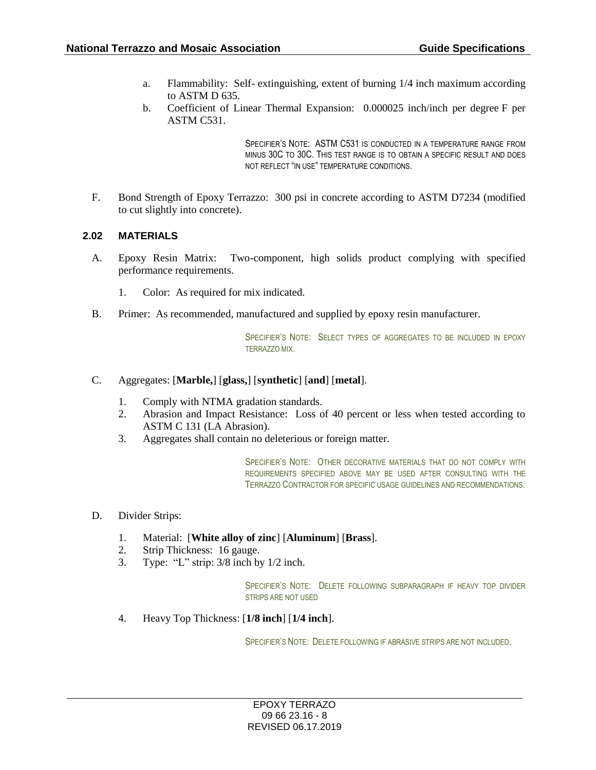- a. Flammability: Self- extinguishing, extent of burning 1/4 inch maximum according to ASTM D 635.
- b. Coefficient of Linear Thermal Expansion: 0.000025 inch/inch per degree F per ASTM C531.

SPECIFIER'S NOTE: ASTM C531 IS CONDUCTED IN A TEMPERATURE RANGE FROM MINUS 30C TO 30C. THIS TEST RANGE IS TO OBTAIN A SPECIFIC RESULT AND DOES NOT REFLECT "IN USE" TEMPERATURE CONDITIONS.

F. Bond Strength of Epoxy Terrazzo: 300 psi in concrete according to ASTM D7234 (modified to cut slightly into concrete).

### **2.02 MATERIALS**

- A. Epoxy Resin Matrix: Two-component, high solids product complying with specified performance requirements.
	- 1. Color: As required for mix indicated.
- B. Primer: As recommended, manufactured and supplied by epoxy resin manufacturer.

SPECIFIER'S NOTE: SELECT TYPES OF AGGREGATES TO BE INCLUDED IN EPOXY TERRAZZO MIX.

#### C. Aggregates: [**Marble,**] [**glass,**] [**synthetic**] [**and**] [**metal**].

- 1. Comply with NTMA gradation standards.
- 2. Abrasion and Impact Resistance: Loss of 40 percent or less when tested according to ASTM C 131 (LA Abrasion).
- 3. Aggregates shall contain no deleterious or foreign matter.

SPECIFIER'S NOTE: OTHER DECORATIVE MATERIALS THAT DO NOT COMPLY WITH REQUIREMENTS SPECIFIED ABOVE MAY BE USED AFTER CONSULTING WITH THE TERRAZZO CONTRACTOR FOR SPECIFIC USAGE GUIDELINES AND RECOMMENDATIONS.

- D. Divider Strips:
	- 1. Material: [**White alloy of zinc**] [**Aluminum**] [**Brass**].
	- 2. Strip Thickness: 16 gauge.
	- 3. Type: "L" strip: 3/8 inch by 1/2 inch.

SPECIFIER'S NOTE: DELETE FOLLOWING SUBPARAGRAPH IF HEAVY TOP DIVIDER STRIPS ARE NOT USED

4. Heavy Top Thickness: [**1/8 inch**] [**1/4 inch**].

SPECIFIER'S NOTE: DELETE FOLLOWING IF ABRASIVE STRIPS ARE NOT INCLUDED.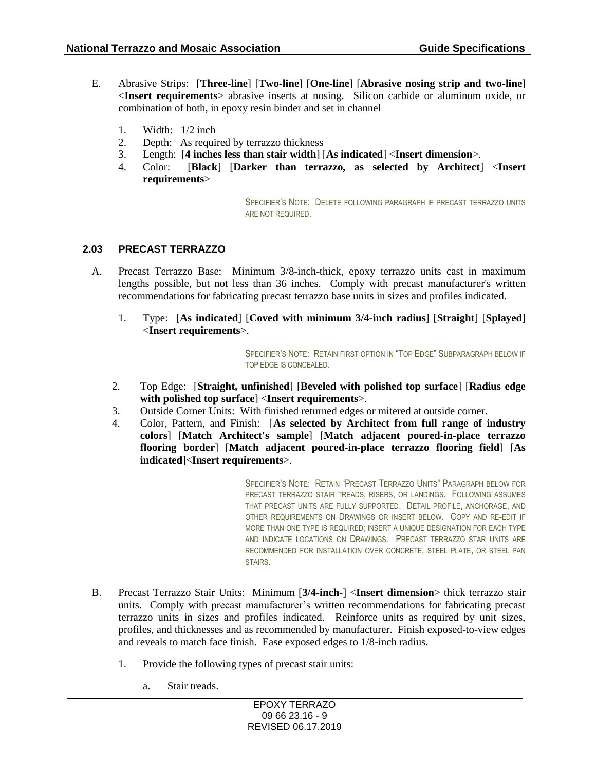- E. Abrasive Strips: [**Three-line**] [**Two-line**] [**One-line**] [**Abrasive nosing strip and two-line**] <**Insert requirements**> abrasive inserts at nosing. Silicon carbide or aluminum oxide, or combination of both, in epoxy resin binder and set in channel
	- 1. Width: 1/2 inch
	- 2. Depth: As required by terrazzo thickness
	- 3. Length: [**4 inches less than stair width**] [**As indicated**] <**Insert dimension**>.
	- 4. Color: [**Black**] [**Darker than terrazzo, as selected by Architect**] <**Insert requirements**>

SPECIFIER'S NOTE: DELETE FOLLOWING PARAGRAPH IF PRECAST TERRAZZO UNITS ARE NOT REQUIRED.

### **2.03 PRECAST TERRAZZO**

- A. Precast Terrazzo Base: Minimum 3/8-inch-thick, epoxy terrazzo units cast in maximum lengths possible, but not less than 36 inches. Comply with precast manufacturer's written recommendations for fabricating precast terrazzo base units in sizes and profiles indicated.
	- 1. Type: [**As indicated**] [**Coved with minimum 3/4-inch radius**] [**Straight**] [**Splayed**] <**Insert requirements**>.

SPECIFIER'S NOTE: RETAIN FIRST OPTION IN "TOP EDGE" SUBPARAGRAPH BELOW IF TOP EDGE IS CONCEALED.

- 2. Top Edge: [**Straight, unfinished**] [**Beveled with polished top surface**] [**Radius edge with polished top surface**] <**Insert requirements**>.
- 3. Outside Corner Units: With finished returned edges or mitered at outside corner.
- 4. Color, Pattern, and Finish: [**As selected by Architect from full range of industry colors**] [**Match Architect's sample**] [**Match adjacent poured-in-place terrazzo flooring border**] [**Match adjacent poured-in-place terrazzo flooring field**] [**As indicated**]<**Insert requirements**>.

SPECIFIER'S NOTE: RETAIN "PRECAST TERRAZZO UNITS" PARAGRAPH BELOW FOR PRECAST TERRAZZO STAIR TREADS, RISERS, OR LANDINGS. FOLLOWING ASSUMES THAT PRECAST UNITS ARE FULLY SUPPORTED. DETAIL PROFILE, ANCHORAGE, AND OTHER REQUIREMENTS ON DRAWINGS OR INSERT BELOW. COPY AND RE-EDIT IF MORE THAN ONE TYPE IS REQUIRED; INSERT A UNIQUE DESIGNATION FOR EACH TYPE AND INDICATE LOCATIONS ON DRAWINGS. PRECAST TERRAZZO STAR UNITS ARE RECOMMENDED FOR INSTALLATION OVER CONCRETE, STEEL PLATE, OR STEEL PAN STAIRS.

- B. Precast Terrazzo Stair Units: Minimum [**3/4-inch-**] <**Insert dimension**> thick terrazzo stair units. Comply with precast manufacturer's written recommendations for fabricating precast terrazzo units in sizes and profiles indicated. Reinforce units as required by unit sizes, profiles, and thicknesses and as recommended by manufacturer. Finish exposed-to-view edges and reveals to match face finish. Ease exposed edges to 1/8-inch radius.
	- 1. Provide the following types of precast stair units:
		- a. Stair treads.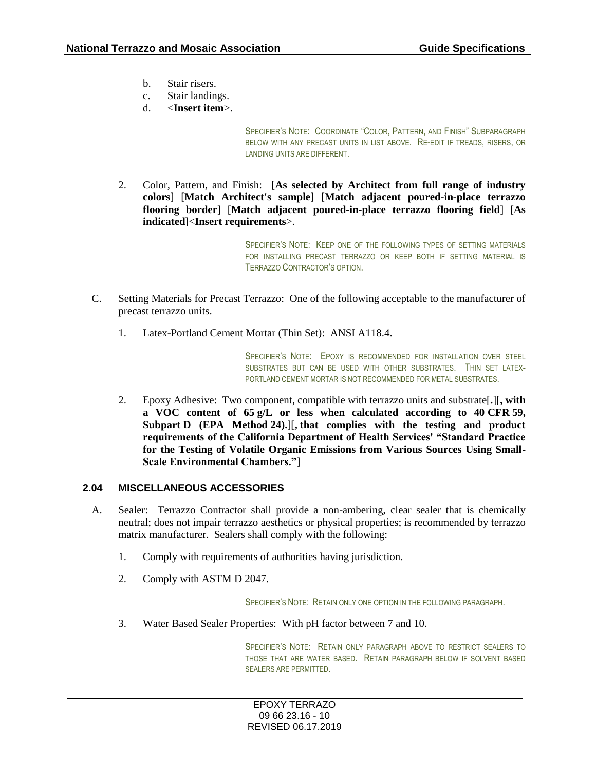- b. Stair risers.
- c. Stair landings.
- d. <**Insert item**>.

SPECIFIER'S NOTE: COORDINATE "COLOR, PATTERN, AND FINISH" SUBPARAGRAPH BELOW WITH ANY PRECAST UNITS IN LIST ABOVE. RE-EDIT IF TREADS, RISERS, OR LANDING UNITS ARE DIFFERENT.

2. Color, Pattern, and Finish: [**As selected by Architect from full range of industry colors**] [**Match Architect's sample**] [**Match adjacent poured-in-place terrazzo flooring border**] [**Match adjacent poured-in-place terrazzo flooring field**] [**As indicated**]<**Insert requirements**>.

> SPECIFIER'S NOTE: KEEP ONE OF THE FOLLOWING TYPES OF SETTING MATERIALS FOR INSTALLING PRECAST TERRAZZO OR KEEP BOTH IF SETTING MATERIAL IS TERRAZZO CONTRACTOR'S OPTION.

- C. Setting Materials for Precast Terrazzo: One of the following acceptable to the manufacturer of precast terrazzo units.
	- 1. Latex-Portland Cement Mortar (Thin Set): ANSI A118.4.

SPECIFIER'S NOTE: EPOXY IS RECOMMENDED FOR INSTALLATION OVER STEEL SUBSTRATES BUT CAN BE USED WITH OTHER SUBSTRATES. THIN SET LATEX-PORTLAND CEMENT MORTAR IS NOT RECOMMENDED FOR METAL SUBSTRATES.

2. Epoxy Adhesive: Two component, compatible with terrazzo units and substrate[**.**][**, with a VOC content of 65 g/L or less when calculated according to 40 CFR 59, Subpart D (EPA Method 24).**][**, that complies with the testing and product requirements of the California Department of Health Services' "Standard Practice for the Testing of Volatile Organic Emissions from Various Sources Using Small-Scale Environmental Chambers."**]

#### **2.04 MISCELLANEOUS ACCESSORIES**

- A. Sealer: Terrazzo Contractor shall provide a non-ambering, clear sealer that is chemically neutral; does not impair terrazzo aesthetics or physical properties; is recommended by terrazzo matrix manufacturer. Sealers shall comply with the following:
	- 1. Comply with requirements of authorities having jurisdiction.
	- 2. Comply with ASTM D 2047.

SPECIFIER'S NOTE: RETAIN ONLY ONE OPTION IN THE FOLLOWING PARAGRAPH.

3. Water Based Sealer Properties: With pH factor between 7 and 10.

SPECIFIER'S NOTE: RETAIN ONLY PARAGRAPH ABOVE TO RESTRICT SEALERS TO THOSE THAT ARE WATER BASED. RETAIN PARAGRAPH BELOW IF SOLVENT BASED SEALERS ARE PERMITTED.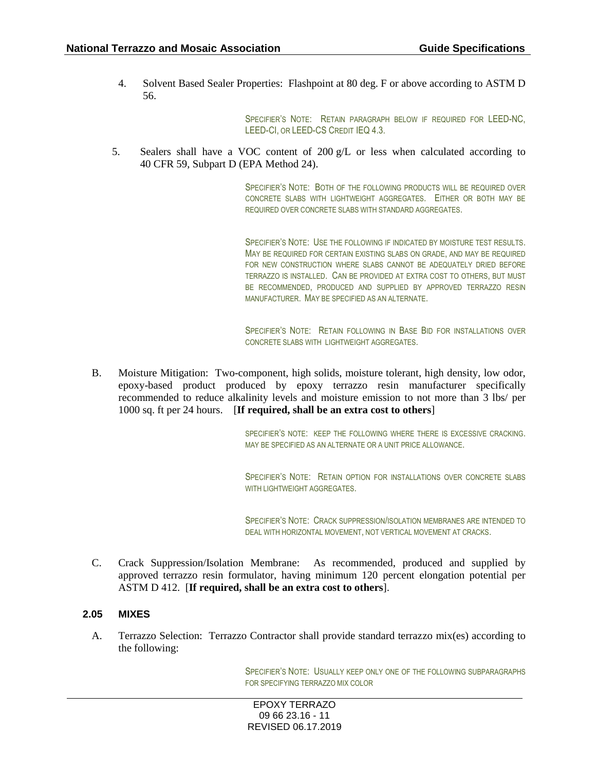4. Solvent Based Sealer Properties: Flashpoint at 80 deg. F or above according to ASTM D 56.

> SPECIFIER'S NOTE: RETAIN PARAGRAPH BELOW IF REQUIRED FOR LEED-NC, LEED-CI, OR LEED-CS CREDIT IEQ 4.3.

5. Sealers shall have a VOC content of 200  $g/L$  or less when calculated according to 40 CFR 59, Subpart D (EPA Method 24).

> SPECIFIER'S NOTE: BOTH OF THE FOLLOWING PRODUCTS WILL BE REQUIRED OVER CONCRETE SLABS WITH LIGHTWEIGHT AGGREGATES. EITHER OR BOTH MAY BE REQUIRED OVER CONCRETE SLABS WITH STANDARD AGGREGATES.

> SPECIFIER'S NOTE: USE THE FOLLOWING IF INDICATED BY MOISTURE TEST RESULTS. MAY BE REQUIRED FOR CERTAIN EXISTING SLABS ON GRADE, AND MAY BE REQUIRED FOR NEW CONSTRUCTION WHERE SLABS CANNOT BE ADEQUATELY DRIED BEFORE TERRAZZO IS INSTALLED. CAN BE PROVIDED AT EXTRA COST TO OTHERS, BUT MUST BE RECOMMENDED, PRODUCED AND SUPPLIED BY APPROVED TERRAZZO RESIN MANUFACTURER. MAY BE SPECIFIED AS AN ALTERNATE.

> SPECIFIER'S NOTE: RETAIN FOLLOWING IN BASE BID FOR INSTALLATIONS OVER CONCRETE SLABS WITH LIGHTWEIGHT AGGREGATES.

B. Moisture Mitigation: Two-component, high solids, moisture tolerant, high density, low odor, epoxy-based product produced by epoxy terrazzo resin manufacturer specifically recommended to reduce alkalinity levels and moisture emission to not more than 3 lbs/ per 1000 sq. ft per 24 hours. [**If required, shall be an extra cost to others**]

> SPECIFIER'S NOTE: KEEP THE FOLLOWING WHERE THERE IS EXCESSIVE CRACKING. MAY BE SPECIFIED AS AN ALTERNATE OR A UNIT PRICE ALLOWANCE.

> SPECIFIER'S NOTE: RETAIN OPTION FOR INSTALLATIONS OVER CONCRETE SLABS WITH LIGHTWEIGHT AGGREGATES.

> SPECIFIER'S NOTE: CRACK SUPPRESSION/ISOLATION MEMBRANES ARE INTENDED TO DEAL WITH HORIZONTAL MOVEMENT, NOT VERTICAL MOVEMENT AT CRACKS.

C. Crack Suppression/Isolation Membrane: As recommended, produced and supplied by approved terrazzo resin formulator, having minimum 120 percent elongation potential per ASTM D 412. [**If required, shall be an extra cost to others**].

### **2.05 MIXES**

A. Terrazzo Selection: Terrazzo Contractor shall provide standard terrazzo mix(es) according to the following:

> SPECIFIER'S NOTE: USUALLY KEEP ONLY ONE OF THE FOLLOWING SUBPARAGRAPHS FOR SPECIFYING TERRAZZO MIX COLOR

EPOXY TERRAZO 09 66 23.16 - 11 REVISED 06.17.2019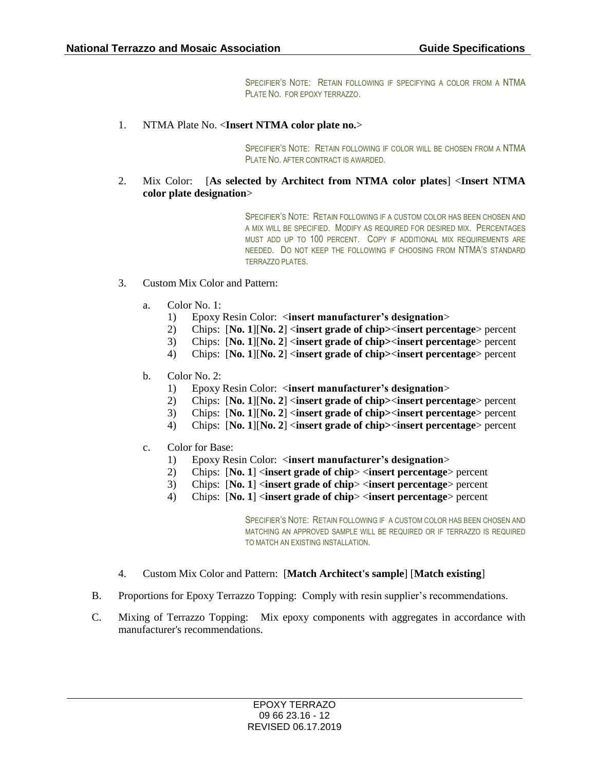SPECIFIER'S NOTE: RETAIN FOLLOWING IF SPECIFYING A COLOR FROM A NTMA PLATE NO. FOR EPOXY TERRAZZO.

1. NTMA Plate No. <**Insert NTMA color plate no.**>

SPECIFIER'S NOTE: RETAIN FOLLOWING IF COLOR WILL BE CHOSEN FROM A NTMA PLATE NO. AFTER CONTRACT IS AWARDED.

2. Mix Color: [**As selected by Architect from NTMA color plates**] <**Insert NTMA color plate designation**>

> SPECIFIER'S NOTE: RETAIN FOLLOWING IF A CUSTOM COLOR HAS BEEN CHOSEN AND A MIX WILL BE SPECIFIED. MODIFY AS REQUIRED FOR DESIRED MIX. PERCENTAGES MUST ADD UP TO 100 PERCENT. COPY IF ADDITIONAL MIX REQUIREMENTS ARE NEEDED. DO NOT KEEP THE FOLLOWING IF CHOOSING FROM NTMA'S STANDARD TERRAZZO PLATES.

- 3. Custom Mix Color and Pattern:
	- a. Color No. 1:
		- 1) Epoxy Resin Color: <**insert manufacturer's designation**>
		- 2) Chips: [**No. 1**][**No. 2**] <**insert grade of chip>**<**insert percentage**> percent
		- 3) Chips: [**No. 1**][**No. 2**] <**insert grade of chip>**<**insert percentage**> percent
		- 4) Chips: [**No. 1**][**No. 2**] <**insert grade of chip>**<**insert percentage**> percent
	- b. Color No. 2:
		- 1) Epoxy Resin Color: <**insert manufacturer's designation**>
		- 2) Chips: [**No. 1**][**No. 2**] <**insert grade of chip>**<**insert percentage**> percent
		- 3) Chips: [**No. 1**][**No. 2**] <**insert grade of chip>**<**insert percentage**> percent
		- 4) Chips: [**No. 1**][**No. 2**] <**insert grade of chip>**<**insert percentage**> percent
	- c. Color for Base:
		- 1) Epoxy Resin Color: <**insert manufacturer's designation**>
		- 2) Chips: [**No. 1**] <**insert grade of chip**> <**insert percentage**> percent
		- 3) Chips: [**No. 1**] <**insert grade of chip**> <**insert percentage**> percent
		- 4) Chips: [**No. 1**] <**insert grade of chip**> <**insert percentage**> percent

SPECIFIER'S NOTE: RETAIN FOLLOWING IF A CUSTOM COLOR HAS BEEN CHOSEN AND MATCHING AN APPROVED SAMPLE WILL BE REQUIRED OR IF TERRAZZO IS REQUIRED TO MATCH AN EXISTING INSTALLATION.

- 4. Custom Mix Color and Pattern: [**Match Architect's sample**] [**Match existing**]
- B. Proportions for Epoxy Terrazzo Topping: Comply with resin supplier's recommendations.
- C. Mixing of Terrazzo Topping: Mix epoxy components with aggregates in accordance with manufacturer's recommendations.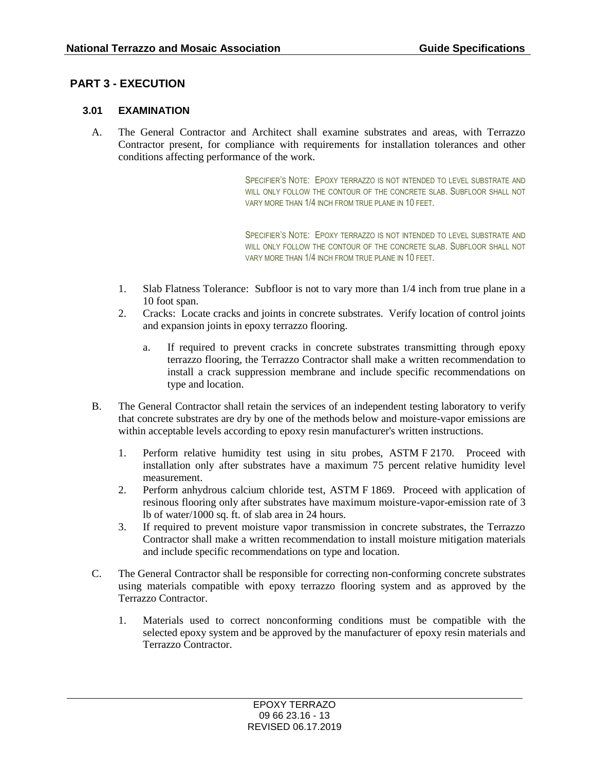# **PART 3 - EXECUTION**

### **3.01 EXAMINATION**

A. The General Contractor and Architect shall examine substrates and areas, with Terrazzo Contractor present, for compliance with requirements for installation tolerances and other conditions affecting performance of the work.

> SPECIFIER'S NOTE: EPOXY TERRAZZO IS NOT INTENDED TO LEVEL SUBSTRATE AND WILL ONLY FOLLOW THE CONTOUR OF THE CONCRETE SLAB. SUBFLOOR SHALL NOT VARY MORE THAN 1/4 INCH FROM TRUE PLANE IN 10 FEET.

> SPECIFIER'S NOTE: EPOXY TERRAZZO IS NOT INTENDED TO LEVEL SUBSTRATE AND WILL ONLY FOLLOW THE CONTOUR OF THE CONCRETE SLAB. SUBFLOOR SHALL NOT VARY MORE THAN 1/4 INCH FROM TRUE PLANE IN 10 FEET.

- 1. Slab Flatness Tolerance: Subfloor is not to vary more than 1/4 inch from true plane in a 10 foot span.
- 2. Cracks: Locate cracks and joints in concrete substrates. Verify location of control joints and expansion joints in epoxy terrazzo flooring.
	- a. If required to prevent cracks in concrete substrates transmitting through epoxy terrazzo flooring, the Terrazzo Contractor shall make a written recommendation to install a crack suppression membrane and include specific recommendations on type and location.
- B. The General Contractor shall retain the services of an independent testing laboratory to verify that concrete substrates are dry by one of the methods below and moisture-vapor emissions are within acceptable levels according to epoxy resin manufacturer's written instructions.
	- 1. Perform relative humidity test using in situ probes, ASTM F 2170. Proceed with installation only after substrates have a maximum 75 percent relative humidity level measurement.
	- 2. Perform anhydrous calcium chloride test, ASTM F 1869. Proceed with application of resinous flooring only after substrates have maximum moisture-vapor-emission rate of 3 lb of water/1000 sq. ft. of slab area in 24 hours.
	- 3. If required to prevent moisture vapor transmission in concrete substrates, the Terrazzo Contractor shall make a written recommendation to install moisture mitigation materials and include specific recommendations on type and location.
- C. The General Contractor shall be responsible for correcting non-conforming concrete substrates using materials compatible with epoxy terrazzo flooring system and as approved by the Terrazzo Contractor.
	- 1. Materials used to correct nonconforming conditions must be compatible with the selected epoxy system and be approved by the manufacturer of epoxy resin materials and Terrazzo Contractor.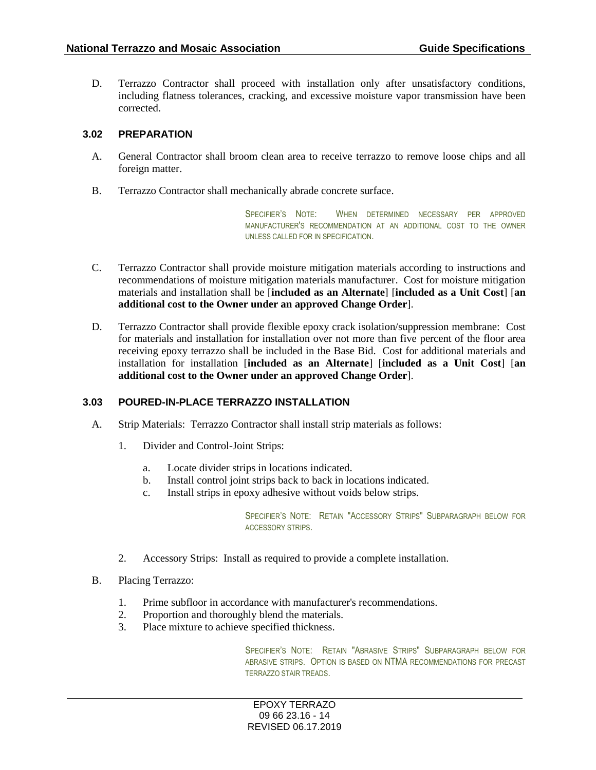D. Terrazzo Contractor shall proceed with installation only after unsatisfactory conditions, including flatness tolerances, cracking, and excessive moisture vapor transmission have been corrected.

### **3.02 PREPARATION**

- A. General Contractor shall broom clean area to receive terrazzo to remove loose chips and all foreign matter.
- B. Terrazzo Contractor shall mechanically abrade concrete surface.

SPECIFIER'S NOTE: WHEN DETERMINED NECESSARY PER APPROVED MANUFACTURER'S RECOMMENDATION AT AN ADDITIONAL COST TO THE OWNER UNLESS CALLED FOR IN SPECIFICATION.

- C. Terrazzo Contractor shall provide moisture mitigation materials according to instructions and recommendations of moisture mitigation materials manufacturer. Cost for moisture mitigation materials and installation shall be [**included as an Alternate**] [**included as a Unit Cost**] [**an additional cost to the Owner under an approved Change Order**].
- D. Terrazzo Contractor shall provide flexible epoxy crack isolation/suppression membrane: Cost for materials and installation for installation over not more than five percent of the floor area receiving epoxy terrazzo shall be included in the Base Bid. Cost for additional materials and installation for installation [**included as an Alternate**] [**included as a Unit Cost**] [**an additional cost to the Owner under an approved Change Order**].

### **3.03 POURED-IN-PLACE TERRAZZO INSTALLATION**

- A. Strip Materials: Terrazzo Contractor shall install strip materials as follows:
	- 1. Divider and Control-Joint Strips:
		- a. Locate divider strips in locations indicated.
		- b. Install control joint strips back to back in locations indicated.
		- c. Install strips in epoxy adhesive without voids below strips.

SPECIFIER'S NOTE: RETAIN "ACCESSORY STRIPS" SUBPARAGRAPH BELOW FOR ACCESSORY STRIPS.

- 2. Accessory Strips: Install as required to provide a complete installation.
- B. Placing Terrazzo:
	- 1. Prime subfloor in accordance with manufacturer's recommendations.
	- 2. Proportion and thoroughly blend the materials.
	- 3. Place mixture to achieve specified thickness.

SPECIFIER'S NOTE: RETAIN "ABRASIVE STRIPS" SUBPARAGRAPH BELOW FOR ABRASIVE STRIPS. OPTION IS BASED ON NTMA RECOMMENDATIONS FOR PRECAST TERRAZZO STAIR TREADS.

EPOXY TERRAZO 09 66 23.16 - 14 REVISED 06.17.2019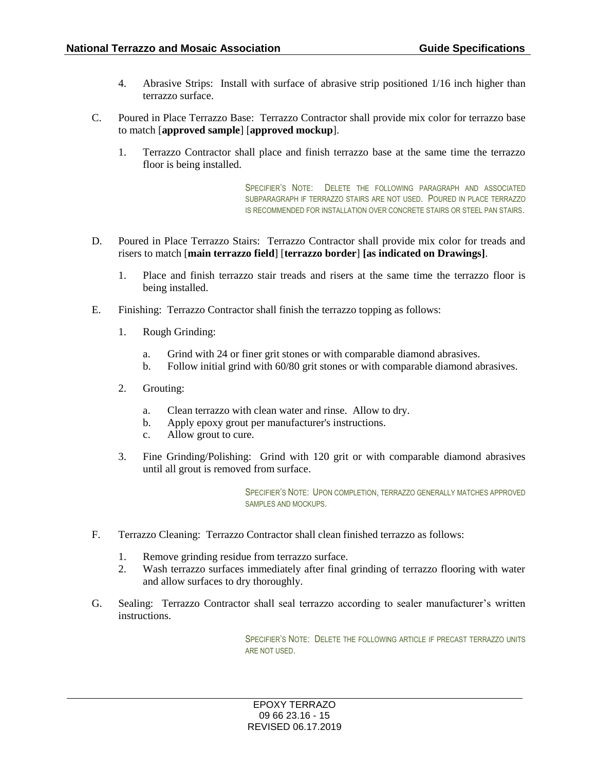- 4. Abrasive Strips: Install with surface of abrasive strip positioned 1/16 inch higher than terrazzo surface.
- C. Poured in Place Terrazzo Base: Terrazzo Contractor shall provide mix color for terrazzo base to match [**approved sample**] [**approved mockup**].
	- 1. Terrazzo Contractor shall place and finish terrazzo base at the same time the terrazzo floor is being installed.

SPECIFIER'S NOTE: DELETE THE FOLLOWING PARAGRAPH AND ASSOCIATED SUBPARAGRAPH IF TERRAZZO STAIRS ARE NOT USED. POURED IN PLACE TERRAZZO IS RECOMMENDED FOR INSTALLATION OVER CONCRETE STAIRS OR STEEL PAN STAIRS.

- D. Poured in Place Terrazzo Stairs: Terrazzo Contractor shall provide mix color for treads and risers to match [**main terrazzo field**] [**terrazzo border**] **[as indicated on Drawings]**.
	- 1. Place and finish terrazzo stair treads and risers at the same time the terrazzo floor is being installed.
- E. Finishing: Terrazzo Contractor shall finish the terrazzo topping as follows:
	- 1. Rough Grinding:
		- a. Grind with 24 or finer grit stones or with comparable diamond abrasives.
		- b. Follow initial grind with 60/80 grit stones or with comparable diamond abrasives.
	- 2. Grouting:
		- a. Clean terrazzo with clean water and rinse. Allow to dry.
		- b. Apply epoxy grout per manufacturer's instructions.
		- c. Allow grout to cure.
	- 3. Fine Grinding/Polishing: Grind with 120 grit or with comparable diamond abrasives until all grout is removed from surface.

SPECIFIER'S NOTE: UPON COMPLETION, TERRAZZO GENERALLY MATCHES APPROVED SAMPLES AND MOCKUPS.

- F. Terrazzo Cleaning: Terrazzo Contractor shall clean finished terrazzo as follows:
	- 1. Remove grinding residue from terrazzo surface.
	- 2. Wash terrazzo surfaces immediately after final grinding of terrazzo flooring with water and allow surfaces to dry thoroughly.
- G. Sealing: Terrazzo Contractor shall seal terrazzo according to sealer manufacturer's written instructions.

SPECIFIER'S NOTE: DELETE THE FOLLOWING ARTICLE IF PRECAST TERRAZZO UNITS ARE NOT USED.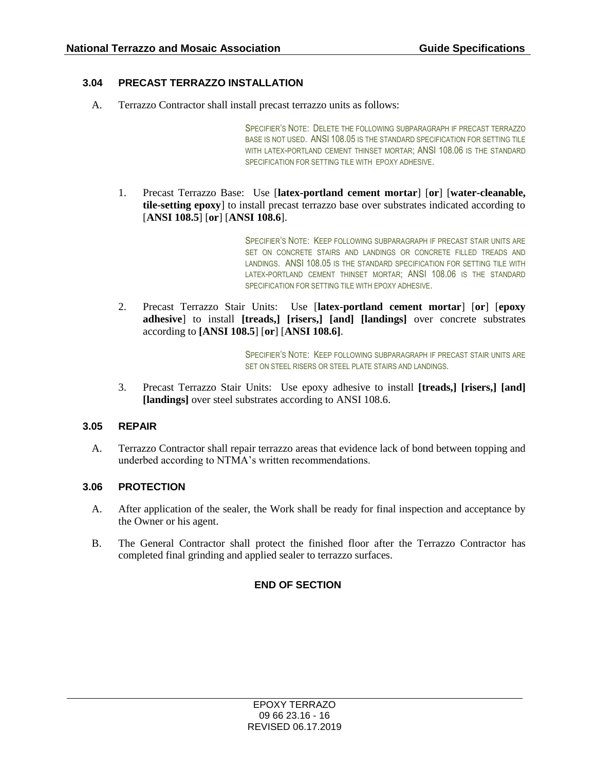## **3.04 PRECAST TERRAZZO INSTALLATION**

A. Terrazzo Contractor shall install precast terrazzo units as follows:

SPECIFIER'S NOTE: DELETE THE FOLLOWING SUBPARAGRAPH IF PRECAST TERRAZZO BASE IS NOT USED. ANSI 108.05 IS THE STANDARD SPECIFICATION FOR SETTING TILE WITH LATEX-PORTLAND CEMENT THINSET MORTAR; ANSI 108.06 IS THE STANDARD SPECIFICATION FOR SETTING TILE WITH EPOXY ADHESIVE.

1. Precast Terrazzo Base: Use [**latex-portland cement mortar**] [**or**] [**water-cleanable, tile-setting epoxy**] to install precast terrazzo base over substrates indicated according to [**ANSI 108.5**] [**or**] [**ANSI 108.6**].

> SPECIFIER'S NOTE: KEEP FOLLOWING SUBPARAGRAPH IF PRECAST STAIR UNITS ARE SET ON CONCRETE STAIRS AND LANDINGS OR CONCRETE FILLED TREADS AND LANDINGS. ANSI 108.05 IS THE STANDARD SPECIFICATION FOR SETTING TILE WITH LATEX-PORTLAND CEMENT THINSET MORTAR; ANSI 108.06 IS THE STANDARD SPECIFICATION FOR SETTING TILE WITH EPOXY ADHESIVE.

2. Precast Terrazzo Stair Units: Use [**latex-portland cement mortar**] [**or**] [**epoxy adhesive**] to install **[treads,] [risers,] [and] [landings]** over concrete substrates according to **[ANSI 108.5**] [**or**] [**ANSI 108.6]**.

> SPECIFIER'S NOTE: KEEP FOLLOWING SUBPARAGRAPH IF PRECAST STAIR UNITS ARE SET ON STEEL RISERS OR STEEL PLATE STAIRS AND LANDINGS.

3. Precast Terrazzo Stair Units: Use epoxy adhesive to install **[treads,] [risers,] [and] [landings]** over steel substrates according to ANSI 108.6.

### **3.05 REPAIR**

A. Terrazzo Contractor shall repair terrazzo areas that evidence lack of bond between topping and underbed according to NTMA's written recommendations.

### **3.06 PROTECTION**

- A. After application of the sealer, the Work shall be ready for final inspection and acceptance by the Owner or his agent.
- B. The General Contractor shall protect the finished floor after the Terrazzo Contractor has completed final grinding and applied sealer to terrazzo surfaces.

### **END OF SECTION**